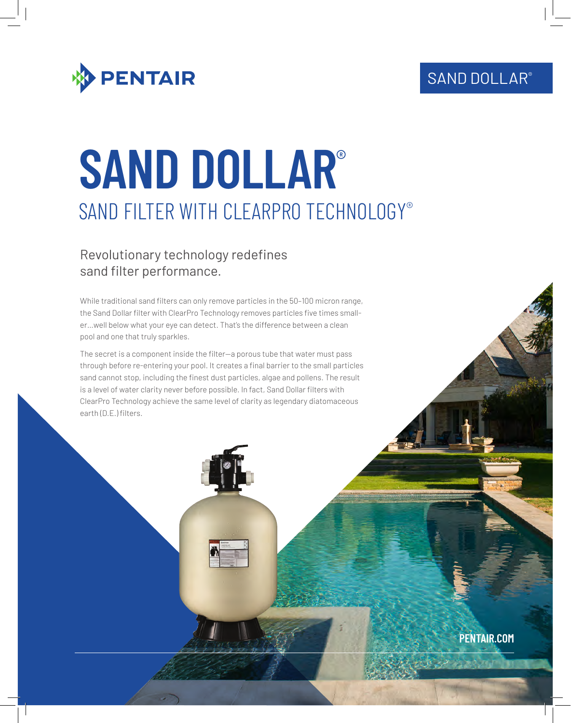## SAND DOLLAR®



# **SAND DOLLAR**® SAND FILTER WITH CLEARPRO TECHNOLOGY®

## Revolutionary technology redefines sand filter performance.

While traditional sand filters can only remove particles in the 50–100 micron range, the Sand Dollar filter with ClearPro Technology removes particles five times smaller…well below what your eye can detect. That's the difference between a clean pool and one that truly sparkles.

The secret is a component inside the filter—a porous tube that water must pass through before re-entering your pool. It creates a final barrier to the small particles sand cannot stop, including the finest dust particles, algae and pollens. The result is a level of water clarity never before possible. In fact, Sand Dollar filters with ClearPro Technology achieve the same level of clarity as legendary diatomaceous earth (D.E.) filters.

**PENTAIR.COM**